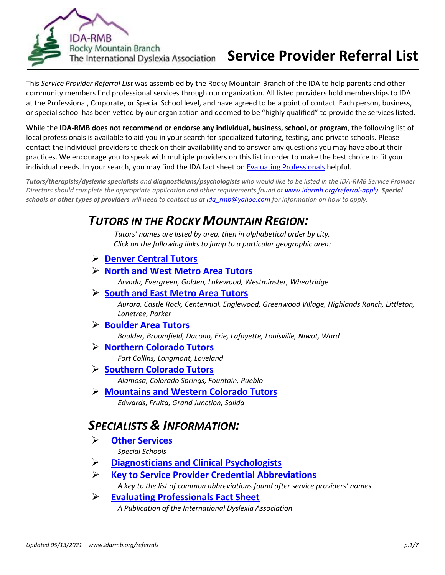

# The International Dyslexia Association **Service Provider Referral List**

This *Service Provider Referral List* was assembled by the Rocky Mountain Branch of the IDA to help parents and other community members find professional services through our organization. All listed providers hold memberships to IDA at the Professional, Corporate, or Special School level, and have agreed to be a point of contact. Each person, business, or special school has been vetted by our organization and deemed to be "highly qualified" to provide the services listed.

While the **IDA-RMB does not recommend or endorse any individual, business, school, or program**, the following list of local professionals is available to aid you in your search for specialized tutoring, testing, and private schools. Please contact the individual providers to check on their availability and to answer any questions you may have about their practices. We encourage you to speak with multiple providers on this list in order to make the best choice to fit your individual needs. In your search, you may find the IDA fact sheet on [Evaluating Professionals](https://app.box.com/s/szsejd5446ffq54030u1525tv5ybzunc) helpful.

*Tutors/therapists/dyslexia specialists and diagnosticians/psychologists who would like to be listed in the IDA-RMB Service Provider Directors should complete the appropriate application and other requirements found at [www.idarmb.org/referral-apply](http://www.idarmb.org/referral-apply)*. *Special schools or other types of providers will need to contact us a[t ida\\_rmb@yahoo.com](mailto:ida_rmb@yahoo.com) for information on how to apply.* 

# *TUTORS IN THE ROCKY MOUNTAIN REGION:*

*Tutors' names are listed by area, then in alphabetical order by city. Click on the following links to jump to a particular geographic area:*

- ➢ **[Denver Central](#page-1-0) Tutors**
- ➢ **[North and West Metro Area Tutors](#page-1-1)**

*Arvada, Evergreen, Golden, Lakewood, Westminster, Wheatridge*

➢ **[South and East Metro Area Tutors](#page-2-0)**

*Aurora, Castle Rock, Centennial, Englewood, Greenwood Village, Highlands Ranch, Littleton, Lonetree, Parker*

## ➢ **[Boulder Area](#page-3-0) Tutors**

*Boulder, Broomfield, Dacono, Erie, Lafayette, Louisville, Niwot, Ward*

➢ **Northern [Colorado Tutors](#page-3-1)**

*Fort Collins, Longmont, Loveland*

- ➢ **[Southern Colorado Tutors](#page-4-0)** *Alamosa, Colorado Springs, Fountain, Pueblo*
- ➢ **[Mountains and Western Colorado Tutors](#page-4-1)** *Edwards, Fruita, Grand Junction, Salida*

# *SPECIALISTS & INFORMATION:*

- ➢ **[Other Services](#page-4-2)** *Special Schools*
- ➢ **Diagnosticians and [Clinical Psychologists](#page-5-0)**
- ➢ **Key to [Service Provider Credential](#page-6-0) Abbreviations** *A key to the list of common abbreviations found after service providers' names.*
- ➢ **[Evaluating Professionals Fact Sheet](https://app.box.com/s/szsejd5446ffq54030u1525tv5ybzunc)** *A Publication of the International Dyslexia Association*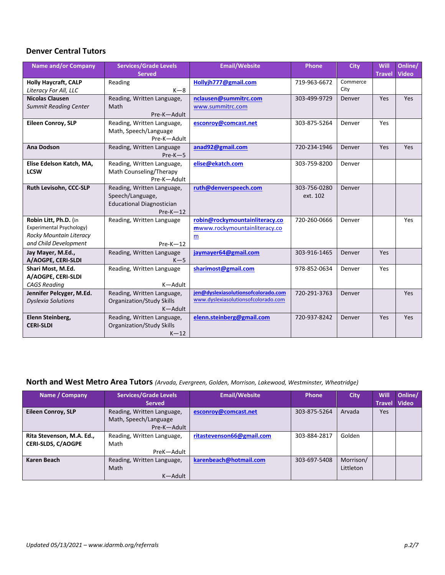#### <span id="page-1-0"></span>**Denver Central Tutors**

| <b>Name and/or Company</b>                                                                            | <b>Services/Grade Levels</b><br><b>Served</b>                                                    | <b>Email/Website</b>                                                       | Phone                    | <b>City</b>      | Will<br><b>Travel</b> | Online/<br><b>Video</b> |
|-------------------------------------------------------------------------------------------------------|--------------------------------------------------------------------------------------------------|----------------------------------------------------------------------------|--------------------------|------------------|-----------------------|-------------------------|
| <b>Holly Haycraft, CALP</b><br>Literacy For All, LLC                                                  | Reading<br>$K-8$                                                                                 | Hollyjh777@gmail.com                                                       | 719-963-6672             | Commerce<br>City |                       |                         |
| <b>Nicolas Clausen</b><br><b>Summit Reading Center</b>                                                | Reading, Written Language,<br>Math<br>Pre-K-Adult                                                | nclausen@summitrc.com<br>www.summitrc.com                                  | 303-499-9729             | Denver           | Yes                   | Yes                     |
| <b>Eileen Conroy, SLP</b>                                                                             | Reading, Written Language,<br>Math, Speech/Language<br>Pre-K-Adult                               | esconroy@comcast.net                                                       | 303-875-5264             | Denver           | Yes                   |                         |
| <b>Ana Dodson</b>                                                                                     | Reading, Written Language<br>$Pre-K-5$                                                           | anad92@gmail.com                                                           | 720-234-1946             | Denver           | Yes                   | Yes                     |
| Elise Edelson Katch, MA,<br><b>LCSW</b>                                                               | Reading, Written Language,<br>Math Counseling/Therapy<br>Pre-K-Adult                             | elise@ekatch.com                                                           | 303-759-8200             | Denver           |                       |                         |
| Ruth Levisohn, CCC-SLP                                                                                | Reading, Written Language,<br>Speech/Language,<br><b>Educational Diagnostician</b><br>$Pre-K-12$ | ruth@denverspeech.com                                                      | 303-756-0280<br>ext. 102 | Denver           |                       |                         |
| Robin Litt, Ph.D. (in<br>Experimental Psychology)<br>Rocky Mountain Literacy<br>and Child Development | Reading, Written Language<br>$Pre-K-12$                                                          | robin@rockymountainliteracy.co<br>mwww.rockymountainliteracy.co<br>m       | 720-260-0666             | Denver           |                       | Yes                     |
| Jay Mayer, M.Ed.,<br>A/AOGPE, CERI-SLDI                                                               | Reading, Written Language<br>$K-5$                                                               | jaymayer64@gmail.com                                                       | 303-916-1465             | Denver           | Yes                   |                         |
| Shari Most, M.Ed.<br>A/AOGPE, CERI-SLDI<br><b>CAGS Reading</b>                                        | Reading, Written Language<br>K-Adult                                                             | sharimost@gmail.com                                                        | 978-852-0634             | Denver           | Yes                   |                         |
| Jennifer Pelcyger, M.Ed.<br><b>Dyslexia Solutions</b>                                                 | Reading, Written Language,<br>Organization/Study Skills<br>K-Adult                               | jen@dyslexiasolutionsofcolorado.com<br>www.dyslexiasolutionsofcolorado.com | 720-291-3763             | Denver           |                       | Yes                     |
| Elenn Steinberg,<br><b>CERI-SLDI</b>                                                                  | Reading, Written Language,<br>Organization/Study Skills<br>$K-12$                                | elenn.steinberg@gmail.com                                                  | 720-937-8242             | Denver           | Yes                   | <b>Yes</b>              |

#### <span id="page-1-1"></span>**North and West Metro Area Tutors** *(Arvada, Evergreen, Golden, Morrison, Lakewood, Westminster, Wheatridge)*

| Name / Company            | <b>Services/Grade Levels</b> | <b>Email/Website</b>      | Phone        | <b>City</b> | <b>Will</b>   | Online/      |
|---------------------------|------------------------------|---------------------------|--------------|-------------|---------------|--------------|
|                           | <b>Served</b>                |                           |              |             | <b>Travel</b> | <b>Video</b> |
| Eileen Conroy, SLP        | Reading, Written Language,   | esconroy@comcast.net      | 303-875-5264 | Arvada      | Yes           |              |
|                           | Math, Speech/Language        |                           |              |             |               |              |
|                           | Pre-K-Adult                  |                           |              |             |               |              |
| Rita Stevenson, M.A. Ed., | Reading, Written Language,   | ritastevenson66@gmail.com | 303-884-2817 | Golden      |               |              |
| <b>CERI-SLDS, C/AOGPE</b> | Math                         |                           |              |             |               |              |
|                           | PreK-Adult                   |                           |              |             |               |              |
| Karen Beach               | Reading, Written Language,   | karenbeach@hotmail.com    | 303-697-5408 | Morrison/   |               |              |
|                           | Math                         |                           |              | Littleton   |               |              |
|                           | K-Adult                      |                           |              |             |               |              |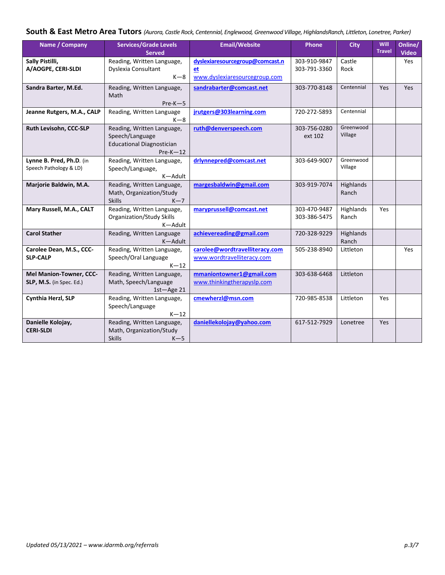## <span id="page-2-0"></span>**South & East Metro Area Tutors** *(Aurora, Castle Rock, Centennial, Englewood, Greenwood Village, HighlandsRanch, Littleton, Lonetree, Parker)*

| Name / Company                                      | <b>Services/Grade Levels</b><br><b>Served</b>                                                   | <b>Email/Website</b>                                                   | Phone                        | <b>City</b>          | Will<br><b>Travel</b> | Online/<br><b>Video</b> |
|-----------------------------------------------------|-------------------------------------------------------------------------------------------------|------------------------------------------------------------------------|------------------------------|----------------------|-----------------------|-------------------------|
| Sally Pistilli,<br>A/AOGPE, CERI-SLDI               | Reading, Written Language,<br>Dyslexia Consultant<br>$K-8$                                      | dyslexiaresourcegroup@comcast.n<br>et<br>www.dyslexiaresourcegroup.com | 303-910-9847<br>303-791-3360 | Castle<br>Rock       |                       | Yes                     |
| Sandra Barter, M.Ed.                                | Reading, Written Language,<br>Math<br>$Pre-K-5$                                                 | sandrabarter@comcast.net                                               | 303-770-8148                 | Centennial           | Yes                   | <b>Yes</b>              |
| Jeanne Rutgers, M.A., CALP                          | Reading, Written Language<br>$K-8$                                                              | jrutgers@303learning.com                                               | 720-272-5893                 | Centennial           |                       |                         |
| Ruth Levisohn, CCC-SLP                              | Reading, Written Language,<br>Speech/Language<br><b>Educational Diagnostician</b><br>$Pre-K-12$ | ruth@denverspeech.com                                                  | 303-756-0280<br>ext 102      | Greenwood<br>Village |                       |                         |
| Lynne B. Pred, Ph.D. (in<br>Speech Pathology & LD)  | Reading, Written Language,<br>Speech/Language,<br>K-Adult                                       | drlynnepred@comcast.net                                                | 303-649-9007                 | Greenwood<br>Village |                       |                         |
| Marjorie Baldwin, M.A.                              | Reading, Written Language,<br>Math, Organization/Study<br><b>Skills</b><br>$K-7$                | margesbaldwin@gmail.com                                                | 303-919-7074                 | Highlands<br>Ranch   |                       |                         |
| Mary Russell, M.A., CALT                            | Reading, Written Language,<br><b>Organization/Study Skills</b><br>K-Adult                       | maryprussell@comcast.net                                               | 303-470-9487<br>303-386-5475 | Highlands<br>Ranch   | Yes                   |                         |
| <b>Carol Stather</b>                                | Reading, Written Language<br>K-Adult                                                            | achievereading@gmail.com                                               | 720-328-9229                 | Highlands<br>Ranch   |                       |                         |
| Carolee Dean, M.S., CCC-<br><b>SLP-CALP</b>         | Reading, Written Language,<br>Speech/Oral Language<br>$K-12$                                    | carolee@wordtravelliteracy.com<br>www.wordtravelliteracy.com           | 505-238-8940                 | Littleton            |                       | Yes                     |
| Mel Manion-Towner, CCC-<br>SLP, M.S. (in Spec. Ed.) | Reading, Written Language,<br>Math, Speech/Language<br>$1st - Age 21$                           | mmaniontowner1@gmail.com<br>www.thinkingtherapyslp.com                 | 303-638-6468                 | Littleton            |                       |                         |
| Cynthia Herzl, SLP                                  | Reading, Written Language,<br>Speech/Language<br>$K-12$                                         | cmewherzl@msn.com                                                      | 720-985-8538                 | Littleton            | Yes                   |                         |
| Danielle Kolojay,<br><b>CERI-SLDI</b>               | Reading, Written Language,<br>Math, Organization/Study<br><b>Skills</b><br>$K-5$                | daniellekolojay@yahoo.com                                              | 617-512-7929                 | Lonetree             | Yes                   |                         |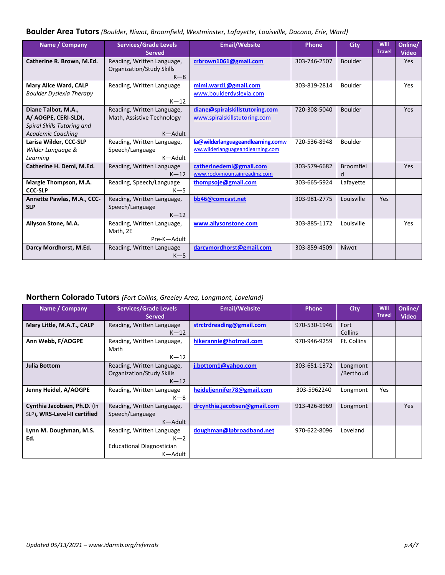#### <span id="page-3-0"></span>**Boulder Area Tutors** *(Boulder, Niwot, Broomfield, Westminster, Lafayette, Louisville, Dacono, Erie, Ward)*

| Name / Company                                                                                        | <b>Services/Grade Levels</b><br><b>Served</b>                           | <b>Email/Website</b>                                                  | Phone        | <b>City</b>           | Will<br><b>Travel</b> | Online/<br><b>Video</b> |
|-------------------------------------------------------------------------------------------------------|-------------------------------------------------------------------------|-----------------------------------------------------------------------|--------------|-----------------------|-----------------------|-------------------------|
| Catherine R. Brown, M.Ed.                                                                             | Reading, Written Language,<br><b>Organization/Study Skills</b><br>$K-8$ | crbrown1061@gmail.com                                                 | 303-746-2507 | <b>Boulder</b>        |                       | <b>Yes</b>              |
| Mary Alice Ward, CALP<br><b>Boulder Dyslexia Therapy</b>                                              | Reading, Written Language<br>$K-12$                                     | mimi.ward1@gmail.com<br>www.boulderdyslexia.com                       | 303-819-2814 | Boulder               |                       | Yes                     |
| Diane Talbot, M.A.,<br>A/ AOGPE, CERI-SLDI,<br>Spiral Skills Tutoring and<br><b>Academic Coaching</b> | Reading, Written Language,<br>Math, Assistive Technology<br>K-Adult     | diane@spiralskillstutoring.com<br>www.spiralskillstutoring.com        | 720-308-5040 | <b>Boulder</b>        |                       | Yes                     |
| Larisa Wilder, CCC-SLP<br>Wilder Language &<br>Learning                                               | Reading, Written Language,<br>Speech/Language<br>K-Adult                | la@wilderlanguageandlearning.comw<br>ww.wilderlanguageandlearning.com | 720-536-8948 | Boulder               |                       |                         |
| Catherine H. Deml, M.Ed.                                                                              | Reading, Written Language<br>$K-12$                                     | catherinedeml@gmail.com<br>www.rockymountainreading.com               | 303-579-6682 | <b>Broomfiel</b><br>d |                       | Yes                     |
| Margie Thompson, M.A.<br><b>CCC-SLP</b>                                                               | Reading, Speech/Language<br>$K-5$                                       | thompsoje@gmail.com                                                   | 303-665-5924 | Lafayette             |                       |                         |
| Annette Pawlas, M.A., CCC-<br><b>SLP</b>                                                              | Reading, Written Language,<br>Speech/Language<br>$K-12$                 | bb46@comcast.net                                                      | 303-981-2775 | Louisville            | <b>Yes</b>            |                         |
| Allyson Stone, M.A.                                                                                   | Reading, Written Language,<br>Math, 2E<br>Pre-K-Adult                   | www.allysonstone.com                                                  | 303-885-1172 | Louisville            |                       | Yes                     |
| Darcy Mordhorst, M.Ed.                                                                                | Reading, Written Language<br>$K-5$                                      | darcymordhorst@gmail.com                                              | 303-859-4509 | Niwot                 |                       |                         |

## <span id="page-3-1"></span>**Northern Colorado Tutors** *(Fort Collins, Greeley Area, Longmont, Loveland)*

| Name / Company                                              | <b>Services/Grade Levels</b><br><b>Served</b>                                     | <b>Email/Website</b>         | <b>Phone</b> | <b>City</b>            | Will<br><b>Travel</b> | Online/<br><b>Video</b> |
|-------------------------------------------------------------|-----------------------------------------------------------------------------------|------------------------------|--------------|------------------------|-----------------------|-------------------------|
| Mary Little, M.A.T., CALP                                   | Reading, Written Language<br>$K-12$                                               | strctrdreading@gmail.com     | 970-530-1946 | Fort<br><b>Collins</b> |                       |                         |
| Ann Webb, F/AOGPE                                           | Reading, Written Language,<br>Math<br>$K-12$                                      | hikerannie@hotmail.com       | 970-946-9259 | Ft. Collins            |                       |                         |
| <b>Julia Bottom</b>                                         | Reading, Written Language,<br>Organization/Study Skills<br>$K-12$                 | j.bottom1@yahoo.com          | 303-651-1372 | Longmont<br>/Berthoud  |                       |                         |
| Jenny Heidel, A/AOGPE                                       | Reading, Written Language<br>$K-8$                                                | heideljennifer78@gmail.com   | 303-5962240  | Longmont               | Yes                   |                         |
| Cynthia Jacobsen, Ph.D. (in<br>SLP), WRS-Level-II certified | Reading, Written Language,<br>Speech/Language<br>K-Adult                          | drcynthia.jacobsen@gmail.com | 913-426-8969 | Longmont               |                       | Yes                     |
| Lynn M. Doughman, M.S.<br>Ed.                               | Reading, Written Language<br>$K-2$<br><b>Educational Diagnostician</b><br>K-Adult | doughman@lpbroadband.net     | 970-622-8096 | Loveland               |                       |                         |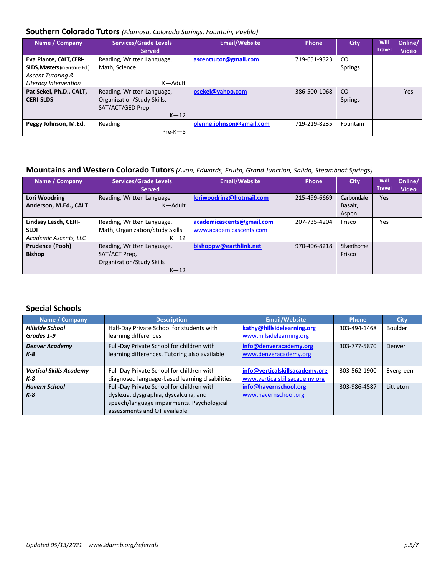#### <span id="page-4-0"></span>**Southern Colorado Tutors** *(Alamosa, Colorado Springs, Fountain, Pueblo)*

| Name / Company                                                                                                 | <b>Services/Grade Levels</b><br><b>Served</b>                                           | <b>Email/Website</b>     | <b>Phone</b> | <b>City</b>                     | <b>Will</b><br><b>Travel</b> | Online/<br><b>Video</b> |
|----------------------------------------------------------------------------------------------------------------|-----------------------------------------------------------------------------------------|--------------------------|--------------|---------------------------------|------------------------------|-------------------------|
| Eva Plante, CALT, CERI-<br><b>SLDS, Masters (in Science Ed.)</b><br>Ascent Tutoring &<br>Literacy Intervention | Reading, Written Language,<br>Math, Science<br>K-Adult                                  | ascenttutor@gmail.com    | 719-651-9323 | <sub>CO</sub><br>Springs        |                              |                         |
| Pat Sekel, Ph.D., CALT,<br><b>CERI-SLDS</b>                                                                    | Reading, Written Language,<br>Organization/Study Skills,<br>SAT/ACT/GED Prep.<br>$K-12$ | psekel@yahoo.com         | 386-500-1068 | <sub>co</sub><br><b>Springs</b> |                              | Yes                     |
| Peggy Johnson, M.Ed.                                                                                           | Reading<br>$Pre-K-5$                                                                    | plynne.johnson@gmail.com | 719-219-8235 | Fountain                        |                              |                         |

## <span id="page-4-1"></span>**Mountains and Western Colorado Tutors***(Avon, Edwards, Fruita, Grand Junction, Salida, Steamboat Springs)*

| Name / Company                                               | <b>Services/Grade Levels</b><br><b>Served</b>                                      | <b>Email/Website</b>                                 | <b>Phone</b> | <b>City</b>                    | <b>Will</b><br><b>Travel</b> | Online/<br><b>Video</b> |
|--------------------------------------------------------------|------------------------------------------------------------------------------------|------------------------------------------------------|--------------|--------------------------------|------------------------------|-------------------------|
| Lori Woodring<br>Anderson, M.Ed., CALT                       | Reading, Written Language<br>K-Adult                                               | loriwoodring@hotmail.com                             | 215-499-6669 | Carbondale<br>Basalt,<br>Aspen | Yes                          |                         |
| Lindsay Lesch, CERI-<br><b>SLDI</b><br>Academic Ascents, LLC | Reading, Written Language,<br>Math, Organization/Study Skills<br>$K-12$            | academicascents@gmail.com<br>www.academicascents.com | 207-735-4204 | Frisco                         | Yes                          |                         |
| <b>Prudence (Pooh)</b><br><b>Bishop</b>                      | Reading, Written Language,<br>SAT/ACT Prep.<br>Organization/Study Skills<br>$K-12$ | bishoppw@earthlink.net                               | 970-406-8218 | Silverthorne<br>Frisco         |                              |                         |

### <span id="page-4-2"></span>**Special Schools**

| Name / Company                 | <b>Description</b>                             | <b>Email/Website</b>           | <b>Phone</b> | <b>City</b> |
|--------------------------------|------------------------------------------------|--------------------------------|--------------|-------------|
| <b>Hillside School</b>         | Half-Day Private School for students with      | kathy@hillsidelearning.org     | 303-494-1468 | Boulder     |
| Grades 1-9                     | learning differences                           | www.hillsidelearning.org       |              |             |
| <b>Denver Academy</b>          | Full-Day Private School for children with      | info@denveracademy.org         | 303-777-5870 | Denver      |
| $K-8$                          | learning differences. Tutoring also available  | www.denveracademy.org          |              |             |
|                                |                                                |                                |              |             |
| <b>Vertical Skills Academy</b> | Full-Day Private School for children with      | info@verticalskillsacademy.org | 303-562-1900 | Evergreen   |
| K-8                            | diagnosed language-based learning disabilities | www.verticalskillsacademy.org  |              |             |
| <b>Havern School</b>           | Full-Day Private School for children with      | info@havernschool.org          | 303-986-4587 | Littleton   |
| $K-8$                          | dyslexia, dysgraphia, dyscalculia, and         | www.havernschool.org           |              |             |
|                                | speech/language impairments. Psychological     |                                |              |             |
|                                | assessments and OT available                   |                                |              |             |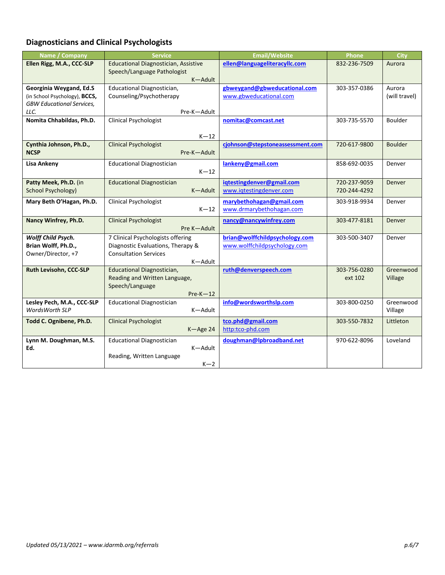# <span id="page-5-0"></span>**Diagnosticians and Clinical Psychologists**

| Name / Company                         | <b>Service</b>                                              | <b>Email/Website</b>             | <b>Phone</b>            | <b>City</b>          |
|----------------------------------------|-------------------------------------------------------------|----------------------------------|-------------------------|----------------------|
| Ellen Rigg, M.A., CCC-SLP              | <b>Educational Diagnostician, Assistive</b>                 | ellen@languageliteracyllc.com    | 832-236-7509            | Aurora               |
|                                        | Speech/Language Pathologist<br>K-Adult                      |                                  |                         |                      |
| Georginia Weygand, Ed.S                | Educational Diagnostician,                                  | gbweygand@gbweducational.com     | 303-357-0386            | Aurora               |
| (in School Psychology), BCCS,          | Counseling/Psychotherapy                                    | www.gbweducational.com           |                         | (will travel)        |
| <b>GBW Educational Services,</b>       |                                                             |                                  |                         |                      |
| LLC.                                   | Pre-K-Adult                                                 |                                  |                         |                      |
| Nomita Chhabildas, Ph.D.               | <b>Clinical Psychologist</b>                                | nomitac@comcast.net              | 303-735-5570            | Boulder              |
|                                        |                                                             |                                  |                         |                      |
|                                        | $K-12$                                                      |                                  |                         |                      |
| Cynthia Johnson, Ph.D.,<br><b>NCSP</b> | <b>Clinical Psychologist</b><br>Pre-K-Adult                 | cjohnson@stepstoneassessment.com | 720-617-9800            | <b>Boulder</b>       |
|                                        |                                                             |                                  |                         |                      |
| <b>Lisa Ankeny</b>                     | <b>Educational Diagnostician</b>                            | lankeny@gmail.com                | 858-692-0035            | Denver               |
|                                        | $K-12$                                                      |                                  |                         |                      |
| Patty Meek, Ph.D. (in                  | <b>Educational Diagnostician</b>                            | igtestingdenver@gmail.com        | 720-237-9059            | <b>Denver</b>        |
| <b>School Psychology)</b>              | K-Adult                                                     | www.iqtestingdenver.com          | 720-244-4292            |                      |
| Mary Beth O'Hagan, Ph.D.               | <b>Clinical Psychologist</b>                                | marybethohagan@gmail.com         | 303-918-9934            | Denver               |
|                                        | $K-12$                                                      | www.drmarybethohagan.com         |                         |                      |
| Nancy Winfrey, Ph.D.                   | <b>Clinical Psychologist</b>                                | nancy@nancywinfrey.com           | 303-477-8181            | <b>Denver</b>        |
|                                        | Pre K-Adult                                                 |                                  |                         |                      |
| Wolff Child Psych.                     | 7 Clinical Psychologists offering                           | brian@wolffchildpsychology.com   | 303-500-3407            | Denver               |
| Brian Wolff, Ph.D.,                    | Diagnostic Evaluations, Therapy &                           | www.wolffchildpsychology.com     |                         |                      |
| Owner/Director, +7                     | <b>Consultation Services</b>                                |                                  |                         |                      |
|                                        | K-Adult                                                     |                                  |                         |                      |
| Ruth Levisohn, CCC-SLP                 | Educational Diagnostician,<br>Reading and Written Language, | ruth@denverspeech.com            | 303-756-0280<br>ext 102 | Greenwood<br>Village |
|                                        | Speech/Language                                             |                                  |                         |                      |
|                                        | $Pre-K-12$                                                  |                                  |                         |                      |
| Lesley Pech, M.A., CCC-SLP             | <b>Educational Diagnostician</b>                            | info@wordsworthslp.com           | 303-800-0250            | Greenwood            |
| <b>WordsWorth SLP</b>                  | K-Adult                                                     |                                  |                         | Village              |
| Todd C. Ognibene, Ph.D.                | <b>Clinical Psychologist</b>                                | tco.phd@gmail.com                | 303-550-7832            | Littleton            |
|                                        | K-Age 24                                                    | http:tco-phd.com                 |                         |                      |
| Lynn M. Doughman, M.S.                 | <b>Educational Diagnostician</b>                            | doughman@lpbroadband.net         | 970-622-8096            | Loveland             |
| Ed.                                    | K-Adult                                                     |                                  |                         |                      |
|                                        | Reading, Written Language                                   |                                  |                         |                      |
|                                        | $K-2$                                                       |                                  |                         |                      |